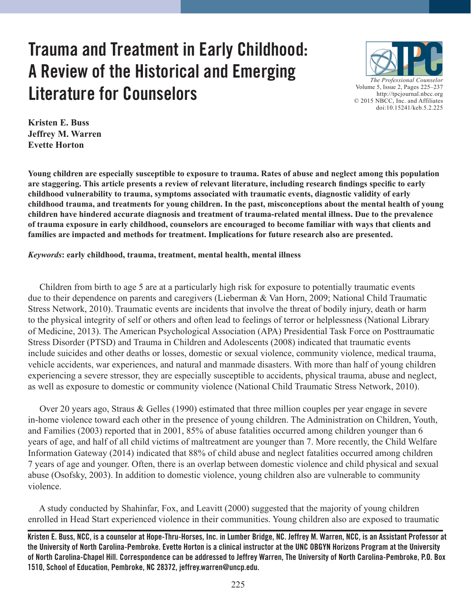# **Trauma and Treatment in Early Childhood: A Review of the Historical and Emerging Literature for Counselors**



**Kristen E. Buss Jeffrey M. Warren Evette Horton**

**Young children are especially susceptible to exposure to trauma. Rates of abuse and neglect among this population are staggering. This article presents a review of relevant literature, including research findings specific to early childhood vulnerability to trauma, symptoms associated with traumatic events, diagnostic validity of early childhood trauma, and treatments for young children. In the past, misconceptions about the mental health of young children have hindered accurate diagnosis and treatment of trauma-related mental illness. Due to the prevalence of trauma exposure in early childhood, counselors are encouraged to become familiar with ways that clients and families are impacted and methods for treatment. Implications for future research also are presented.**

#### *Keywords***: early childhood, trauma, treatment, mental health, mental illness**

 Children from birth to age 5 are at a particularly high risk for exposure to potentially traumatic events due to their dependence on parents and caregivers (Lieberman & Van Horn, 2009; National Child Traumatic Stress Network, 2010). Traumatic events are incidents that involve the threat of bodily injury, death or harm to the physical integrity of self or others and often lead to feelings of terror or helplessness (National Library of Medicine, 2013). The American Psychological Association (APA) Presidential Task Force on Posttraumatic Stress Disorder (PTSD) and Trauma in Children and Adolescents (2008) indicated that traumatic events include suicides and other deaths or losses, domestic or sexual violence, community violence, medical trauma, vehicle accidents, war experiences, and natural and manmade disasters. With more than half of young children experiencing a severe stressor, they are especially susceptible to accidents, physical trauma, abuse and neglect, as well as exposure to domestic or community violence (National Child Traumatic Stress Network, 2010).

 Over 20 years ago, Straus & Gelles (1990) estimated that three million couples per year engage in severe in-home violence toward each other in the presence of young children. The Administration on Children, Youth, and Families (2003) reported that in 2001, 85% of abuse fatalities occurred among children younger than 6 years of age, and half of all child victims of maltreatment are younger than 7. More recently, the Child Welfare Information Gateway (2014) indicated that 88% of child abuse and neglect fatalities occurred among children 7 years of age and younger. Often, there is an overlap between domestic violence and child physical and sexual abuse (Osofsky, 2003). In addition to domestic violence, young children also are vulnerable to community violence.

 A study conducted by Shahinfar, Fox, and Leavitt (2000) suggested that the majority of young children enrolled in Head Start experienced violence in their communities. Young children also are exposed to traumatic

**Kristen E. Buss, NCC, is a counselor at Hope-Thru-Horses, Inc. in Lumber Bridge, NC. Jeffrey M. Warren, NCC, is an Assistant Professor at the University of North Carolina-Pembroke. Evette Horton is a clinical instructor at the UNC OBGYN Horizons Program at the University of North Carolina-Chapel Hill. Correspondence can be addressed to Jeffrey Warren, The University of North Carolina-Pembroke, P.O. Box 1510, School of Education, Pembroke, NC 28372, jeffrey.warren@uncp.edu.**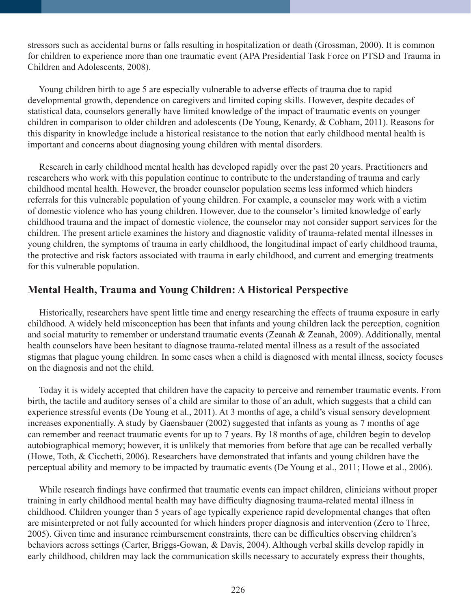stressors such as accidental burns or falls resulting in hospitalization or death (Grossman, 2000). It is common for children to experience more than one traumatic event (APA Presidential Task Force on PTSD and Trauma in Children and Adolescents, 2008).

 Young children birth to age 5 are especially vulnerable to adverse effects of trauma due to rapid developmental growth, dependence on caregivers and limited coping skills. However, despite decades of statistical data, counselors generally have limited knowledge of the impact of traumatic events on younger children in comparison to older children and adolescents (De Young, Kenardy, & Cobham, 2011). Reasons for this disparity in knowledge include a historical resistance to the notion that early childhood mental health is important and concerns about diagnosing young children with mental disorders.

 Research in early childhood mental health has developed rapidly over the past 20 years. Practitioners and researchers who work with this population continue to contribute to the understanding of trauma and early childhood mental health. However, the broader counselor population seems less informed which hinders referrals for this vulnerable population of young children. For example, a counselor may work with a victim of domestic violence who has young children. However, due to the counselor's limited knowledge of early childhood trauma and the impact of domestic violence, the counselor may not consider support services for the children. The present article examines the history and diagnostic validity of trauma-related mental illnesses in young children, the symptoms of trauma in early childhood, the longitudinal impact of early childhood trauma, the protective and risk factors associated with trauma in early childhood, and current and emerging treatments for this vulnerable population.

# **Mental Health, Trauma and Young Children: A Historical Perspective**

 Historically, researchers have spent little time and energy researching the effects of trauma exposure in early childhood. A widely held misconception has been that infants and young children lack the perception, cognition and social maturity to remember or understand traumatic events (Zeanah & Zeanah, 2009). Additionally, mental health counselors have been hesitant to diagnose trauma-related mental illness as a result of the associated stigmas that plague young children. In some cases when a child is diagnosed with mental illness, society focuses on the diagnosis and not the child.

 Today it is widely accepted that children have the capacity to perceive and remember traumatic events. From birth, the tactile and auditory senses of a child are similar to those of an adult, which suggests that a child can experience stressful events (De Young et al., 2011). At 3 months of age, a child's visual sensory development increases exponentially. A study by Gaensbauer (2002) suggested that infants as young as 7 months of age can remember and reenact traumatic events for up to 7 years. By 18 months of age, children begin to develop autobiographical memory; however, it is unlikely that memories from before that age can be recalled verbally (Howe, Toth, & Cicchetti, 2006). Researchers have demonstrated that infants and young children have the perceptual ability and memory to be impacted by traumatic events (De Young et al., 2011; Howe et al., 2006).

 While research findings have confirmed that traumatic events can impact children, clinicians without proper training in early childhood mental health may have difficulty diagnosing trauma-related mental illness in childhood. Children younger than 5 years of age typically experience rapid developmental changes that often are misinterpreted or not fully accounted for which hinders proper diagnosis and intervention (Zero to Three, 2005). Given time and insurance reimbursement constraints, there can be difficulties observing children's behaviors across settings (Carter, Briggs-Gowan, & Davis, 2004). Although verbal skills develop rapidly in early childhood, children may lack the communication skills necessary to accurately express their thoughts,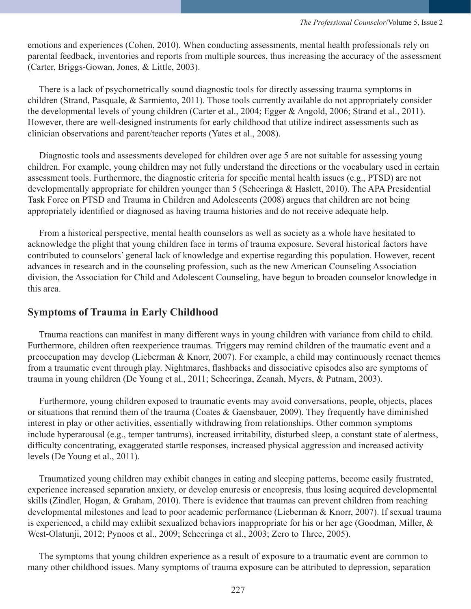emotions and experiences (Cohen, 2010). When conducting assessments, mental health professionals rely on parental feedback, inventories and reports from multiple sources, thus increasing the accuracy of the assessment (Carter, Briggs-Gowan, Jones, & Little, 2003).

 There is a lack of psychometrically sound diagnostic tools for directly assessing trauma symptoms in children (Strand, Pasquale, & Sarmiento, 2011). Those tools currently available do not appropriately consider the developmental levels of young children (Carter et al., 2004; Egger & Angold, 2006; Strand et al., 2011). However, there are well-designed instruments for early childhood that utilize indirect assessments such as clinician observations and parent/teacher reports (Yates et al., 2008).

 Diagnostic tools and assessments developed for children over age 5 are not suitable for assessing young children. For example, young children may not fully understand the directions or the vocabulary used in certain assessment tools. Furthermore, the diagnostic criteria for specific mental health issues (e.g., PTSD) are not developmentally appropriate for children younger than 5 (Scheeringa & Haslett, 2010). The APA Presidential Task Force on PTSD and Trauma in Children and Adolescents (2008) argues that children are not being appropriately identified or diagnosed as having trauma histories and do not receive adequate help.

 From a historical perspective, mental health counselors as well as society as a whole have hesitated to acknowledge the plight that young children face in terms of trauma exposure. Several historical factors have contributed to counselors' general lack of knowledge and expertise regarding this population. However, recent advances in research and in the counseling profession, such as the new American Counseling Association division, the Association for Child and Adolescent Counseling, have begun to broaden counselor knowledge in this area.

### **Symptoms of Trauma in Early Childhood**

 Trauma reactions can manifest in many different ways in young children with variance from child to child. Furthermore, children often reexperience traumas. Triggers may remind children of the traumatic event and a preoccupation may develop (Lieberman & Knorr, 2007). For example, a child may continuously reenact themes from a traumatic event through play. Nightmares, flashbacks and dissociative episodes also are symptoms of trauma in young children (De Young et al., 2011; Scheeringa, Zeanah, Myers, & Putnam, 2003).

 Furthermore, young children exposed to traumatic events may avoid conversations, people, objects, places or situations that remind them of the trauma (Coates & Gaensbauer, 2009). They frequently have diminished interest in play or other activities, essentially withdrawing from relationships. Other common symptoms include hyperarousal (e.g., temper tantrums), increased irritability, disturbed sleep, a constant state of alertness, difficulty concentrating, exaggerated startle responses, increased physical aggression and increased activity levels (De Young et al., 2011).

 Traumatized young children may exhibit changes in eating and sleeping patterns, become easily frustrated, experience increased separation anxiety, or develop enuresis or encopresis, thus losing acquired developmental skills (Zindler, Hogan, & Graham, 2010). There is evidence that traumas can prevent children from reaching developmental milestones and lead to poor academic performance (Lieberman & Knorr, 2007). If sexual trauma is experienced, a child may exhibit sexualized behaviors inappropriate for his or her age (Goodman, Miller, & West-Olatunji, 2012; Pynoos et al., 2009; Scheeringa et al., 2003; Zero to Three, 2005).

 The symptoms that young children experience as a result of exposure to a traumatic event are common to many other childhood issues. Many symptoms of trauma exposure can be attributed to depression, separation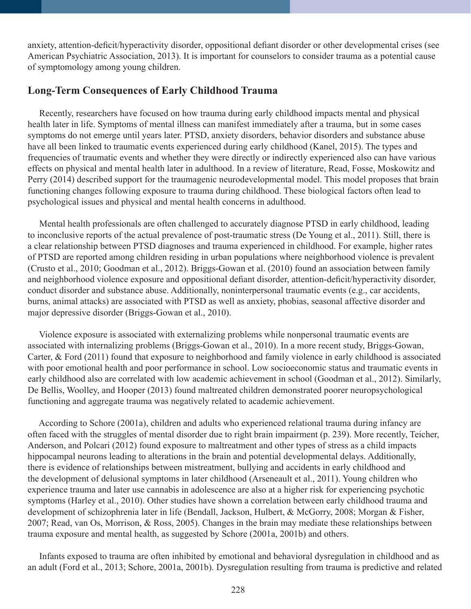anxiety, attention-deficit/hyperactivity disorder, oppositional defiant disorder or other developmental crises (see American Psychiatric Association, 2013). It is important for counselors to consider trauma as a potential cause of symptomology among young children.

# **Long-Term Consequences of Early Childhood Trauma**

 Recently, researchers have focused on how trauma during early childhood impacts mental and physical health later in life. Symptoms of mental illness can manifest immediately after a trauma, but in some cases symptoms do not emerge until years later. PTSD, anxiety disorders, behavior disorders and substance abuse have all been linked to traumatic events experienced during early childhood (Kanel, 2015). The types and frequencies of traumatic events and whether they were directly or indirectly experienced also can have various effects on physical and mental health later in adulthood. In a review of literature, Read, Fosse, Moskowitz and Perry (2014) described support for the traumagenic neurodevelopmental model. This model proposes that brain functioning changes following exposure to trauma during childhood. These biological factors often lead to psychological issues and physical and mental health concerns in adulthood.

 Mental health professionals are often challenged to accurately diagnose PTSD in early childhood, leading to inconclusive reports of the actual prevalence of post-traumatic stress (De Young et al., 2011). Still, there is a clear relationship between PTSD diagnoses and trauma experienced in childhood. For example, higher rates of PTSD are reported among children residing in urban populations where neighborhood violence is prevalent (Crusto et al., 2010; Goodman et al., 2012). Briggs-Gowan et al. (2010) found an association between family and neighborhood violence exposure and oppositional defiant disorder, attention-deficit/hyperactivity disorder, conduct disorder and substance abuse. Additionally, noninterpersonal traumatic events (e.g., car accidents, burns, animal attacks) are associated with PTSD as well as anxiety, phobias, seasonal affective disorder and major depressive disorder (Briggs-Gowan et al., 2010).

 Violence exposure is associated with externalizing problems while nonpersonal traumatic events are associated with internalizing problems (Briggs-Gowan et al., 2010). In a more recent study, Briggs-Gowan, Carter, & Ford (2011) found that exposure to neighborhood and family violence in early childhood is associated with poor emotional health and poor performance in school. Low socioeconomic status and traumatic events in early childhood also are correlated with low academic achievement in school (Goodman et al., 2012). Similarly, De Bellis, Woolley, and Hooper (2013) found maltreated children demonstrated poorer neuropsychological functioning and aggregate trauma was negatively related to academic achievement.

 According to Schore (2001a), children and adults who experienced relational trauma during infancy are often faced with the struggles of mental disorder due to right brain impairment (p. 239). More recently, Teicher, Anderson, and Polcari (2012) found exposure to maltreatment and other types of stress as a child impacts hippocampal neurons leading to alterations in the brain and potential developmental delays. Additionally, there is evidence of relationships between mistreatment, bullying and accidents in early childhood and the development of delusional symptoms in later childhood (Arseneault et al., 2011). Young children who experience trauma and later use cannabis in adolescence are also at a higher risk for experiencing psychotic symptoms (Harley et al., 2010). Other studies have shown a correlation between early childhood trauma and development of schizophrenia later in life (Bendall, Jackson, Hulbert, & McGorry, 2008; Morgan & Fisher, 2007; Read, van Os, Morrison, & Ross, 2005). Changes in the brain may mediate these relationships between trauma exposure and mental health, as suggested by Schore (2001a, 2001b) and others.

 Infants exposed to trauma are often inhibited by emotional and behavioral dysregulation in childhood and as an adult (Ford et al., 2013; Schore, 2001a, 2001b). Dysregulation resulting from trauma is predictive and related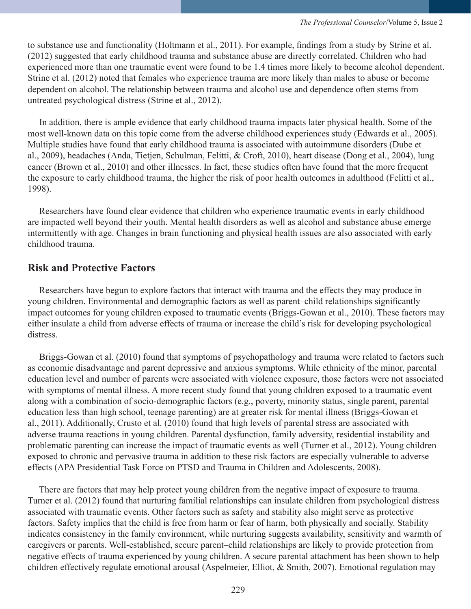to substance use and functionality (Holtmann et al., 2011). For example, findings from a study by Strine et al. (2012) suggested that early childhood trauma and substance abuse are directly correlated. Children who had experienced more than one traumatic event were found to be 1.4 times more likely to become alcohol dependent. Strine et al. (2012) noted that females who experience trauma are more likely than males to abuse or become dependent on alcohol. The relationship between trauma and alcohol use and dependence often stems from untreated psychological distress (Strine et al., 2012).

 In addition, there is ample evidence that early childhood trauma impacts later physical health. Some of the most well-known data on this topic come from the adverse childhood experiences study (Edwards et al., 2005). Multiple studies have found that early childhood trauma is associated with autoimmune disorders (Dube et al., 2009), headaches (Anda, Tietjen, Schulman, Felitti, & Croft, 2010), heart disease (Dong et al., 2004), lung cancer (Brown et al., 2010) and other illnesses. In fact, these studies often have found that the more frequent the exposure to early childhood trauma, the higher the risk of poor health outcomes in adulthood (Felitti et al., 1998).

 Researchers have found clear evidence that children who experience traumatic events in early childhood are impacted well beyond their youth. Mental health disorders as well as alcohol and substance abuse emerge intermittently with age. Changes in brain functioning and physical health issues are also associated with early childhood trauma.

# **Risk and Protective Factors**

 Researchers have begun to explore factors that interact with trauma and the effects they may produce in young children. Environmental and demographic factors as well as parent–child relationships significantly impact outcomes for young children exposed to traumatic events (Briggs-Gowan et al., 2010). These factors may either insulate a child from adverse effects of trauma or increase the child's risk for developing psychological distress.

 Briggs-Gowan et al. (2010) found that symptoms of psychopathology and trauma were related to factors such as economic disadvantage and parent depressive and anxious symptoms. While ethnicity of the minor, parental education level and number of parents were associated with violence exposure, those factors were not associated with symptoms of mental illness. A more recent study found that young children exposed to a traumatic event along with a combination of socio-demographic factors (e.g., poverty, minority status, single parent, parental education less than high school, teenage parenting) are at greater risk for mental illness (Briggs-Gowan et al., 2011). Additionally, Crusto et al. (2010) found that high levels of parental stress are associated with adverse trauma reactions in young children. Parental dysfunction, family adversity, residential instability and problematic parenting can increase the impact of traumatic events as well (Turner et al., 2012). Young children exposed to chronic and pervasive trauma in addition to these risk factors are especially vulnerable to adverse effects (APA Presidential Task Force on PTSD and Trauma in Children and Adolescents, 2008).

 There are factors that may help protect young children from the negative impact of exposure to trauma. Turner et al. (2012) found that nurturing familial relationships can insulate children from psychological distress associated with traumatic events. Other factors such as safety and stability also might serve as protective factors. Safety implies that the child is free from harm or fear of harm, both physically and socially. Stability indicates consistency in the family environment, while nurturing suggests availability, sensitivity and warmth of caregivers or parents. Well-established, secure parent–child relationships are likely to provide protection from negative effects of trauma experienced by young children. A secure parental attachment has been shown to help children effectively regulate emotional arousal (Aspelmeier, Elliot, & Smith, 2007). Emotional regulation may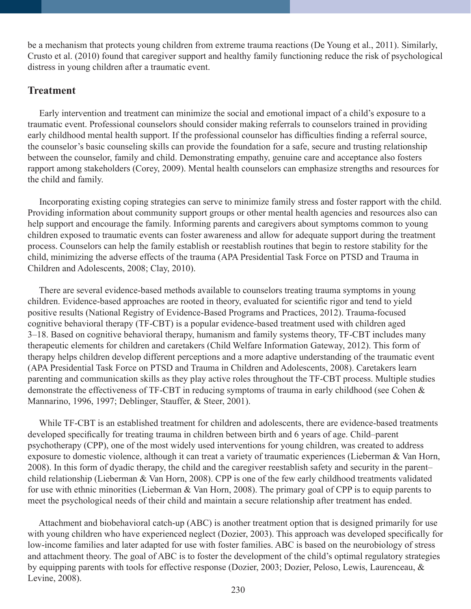be a mechanism that protects young children from extreme trauma reactions (De Young et al., 2011). Similarly, Crusto et al. (2010) found that caregiver support and healthy family functioning reduce the risk of psychological distress in young children after a traumatic event.

## **Treatment**

 Early intervention and treatment can minimize the social and emotional impact of a child's exposure to a traumatic event. Professional counselors should consider making referrals to counselors trained in providing early childhood mental health support. If the professional counselor has difficulties finding a referral source, the counselor's basic counseling skills can provide the foundation for a safe, secure and trusting relationship between the counselor, family and child. Demonstrating empathy, genuine care and acceptance also fosters rapport among stakeholders (Corey, 2009). Mental health counselors can emphasize strengths and resources for the child and family.

 Incorporating existing coping strategies can serve to minimize family stress and foster rapport with the child. Providing information about community support groups or other mental health agencies and resources also can help support and encourage the family. Informing parents and caregivers about symptoms common to young children exposed to traumatic events can foster awareness and allow for adequate support during the treatment process. Counselors can help the family establish or reestablish routines that begin to restore stability for the child, minimizing the adverse effects of the trauma (APA Presidential Task Force on PTSD and Trauma in Children and Adolescents, 2008; Clay, 2010).

 There are several evidence-based methods available to counselors treating trauma symptoms in young children. Evidence-based approaches are rooted in theory, evaluated for scientific rigor and tend to yield positive results (National Registry of Evidence-Based Programs and Practices, 2012). Trauma-focused cognitive behavioral therapy (TF-CBT) is a popular evidence-based treatment used with children aged 3–18. Based on cognitive behavioral therapy, humanism and family systems theory, TF-CBT includes many therapeutic elements for children and caretakers (Child Welfare Information Gateway, 2012). This form of therapy helps children develop different perceptions and a more adaptive understanding of the traumatic event (APA Presidential Task Force on PTSD and Trauma in Children and Adolescents, 2008). Caretakers learn parenting and communication skills as they play active roles throughout the TF-CBT process. Multiple studies demonstrate the effectiveness of TF-CBT in reducing symptoms of trauma in early childhood (see Cohen & Mannarino, 1996, 1997; Deblinger, Stauffer, & Steer, 2001).

 While TF-CBT is an established treatment for children and adolescents, there are evidence-based treatments developed specifically for treating trauma in children between birth and 6 years of age. Child–parent psychotherapy (CPP), one of the most widely used interventions for young children, was created to address exposure to domestic violence, although it can treat a variety of traumatic experiences (Lieberman & Van Horn, 2008). In this form of dyadic therapy, the child and the caregiver reestablish safety and security in the parent– child relationship (Lieberman & Van Horn, 2008). CPP is one of the few early childhood treatments validated for use with ethnic minorities (Lieberman & Van Horn, 2008). The primary goal of CPP is to equip parents to meet the psychological needs of their child and maintain a secure relationship after treatment has ended.

 Attachment and biobehavioral catch-up (ABC) is another treatment option that is designed primarily for use with young children who have experienced neglect (Dozier, 2003). This approach was developed specifically for low-income families and later adapted for use with foster families. ABC is based on the neurobiology of stress and attachment theory. The goal of ABC is to foster the development of the child's optimal regulatory strategies by equipping parents with tools for effective response (Dozier, 2003; Dozier, Peloso, Lewis, Laurenceau, & Levine, 2008).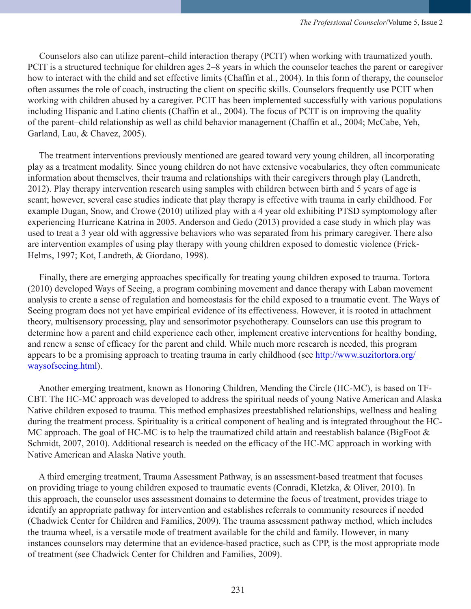Counselors also can utilize parent–child interaction therapy (PCIT) when working with traumatized youth. PCIT is a structured technique for children ages 2–8 years in which the counselor teaches the parent or caregiver how to interact with the child and set effective limits (Chaffin et al., 2004). In this form of therapy, the counselor often assumes the role of coach, instructing the client on specific skills. Counselors frequently use PCIT when working with children abused by a caregiver. PCIT has been implemented successfully with various populations including Hispanic and Latino clients (Chaffin et al., 2004). The focus of PCIT is on improving the quality of the parent–child relationship as well as child behavior management (Chaffin et al., 2004; McCabe, Yeh, Garland, Lau, & Chavez, 2005).

 The treatment interventions previously mentioned are geared toward very young children, all incorporating play as a treatment modality. Since young children do not have extensive vocabularies, they often communicate information about themselves, their trauma and relationships with their caregivers through play (Landreth, 2012). Play therapy intervention research using samples with children between birth and 5 years of age is scant; however, several case studies indicate that play therapy is effective with trauma in early childhood. For example Dugan, Snow, and Crowe (2010) utilized play with a 4 year old exhibiting PTSD symptomology after experiencing Hurricane Katrina in 2005. Anderson and Gedo (2013) provided a case study in which play was used to treat a 3 year old with aggressive behaviors who was separated from his primary caregiver. There also are intervention examples of using play therapy with young children exposed to domestic violence (Frick-Helms, 1997; Kot, Landreth, & Giordano, 1998).

 Finally, there are emerging approaches specifically for treating young children exposed to trauma. Tortora (2010) developed Ways of Seeing, a program combining movement and dance therapy with Laban movement analysis to create a sense of regulation and homeostasis for the child exposed to a traumatic event. The Ways of Seeing program does not yet have empirical evidence of its effectiveness. However, it is rooted in attachment theory, multisensory processing, play and sensorimotor psychotherapy. Counselors can use this program to determine how a parent and child experience each other, implement creative interventions for healthy bonding, and renew a sense of efficacy for the parent and child. While much more research is needed, this program appears to be a promising approach to treating trauma in early childhood (see http://www.suzitortora.org/ waysofseeing.html).

 Another emerging treatment, known as Honoring Children, Mending the Circle (HC-MC), is based on TF-CBT. The HC-MC approach was developed to address the spiritual needs of young Native American and Alaska Native children exposed to trauma. This method emphasizes preestablished relationships, wellness and healing during the treatment process. Spirituality is a critical component of healing and is integrated throughout the HC-MC approach. The goal of HC-MC is to help the traumatized child attain and reestablish balance (BigFoot & Schmidt, 2007, 2010). Additional research is needed on the efficacy of the HC-MC approach in working with Native American and Alaska Native youth.

 A third emerging treatment, Trauma Assessment Pathway, is an assessment-based treatment that focuses on providing triage to young children exposed to traumatic events (Conradi, Kletzka, & Oliver, 2010). In this approach, the counselor uses assessment domains to determine the focus of treatment, provides triage to identify an appropriate pathway for intervention and establishes referrals to community resources if needed (Chadwick Center for Children and Families, 2009). The trauma assessment pathway method, which includes the trauma wheel, is a versatile mode of treatment available for the child and family. However, in many instances counselors may determine that an evidence-based practice, such as CPP, is the most appropriate mode of treatment (see Chadwick Center for Children and Families, 2009).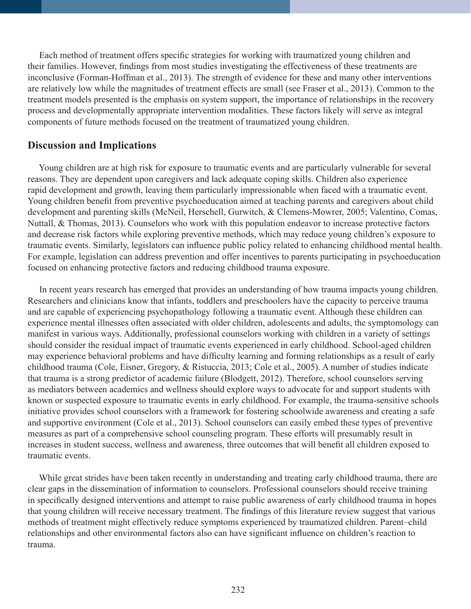Each method of treatment offers specific strategies for working with traumatized young children and their families. However, findings from most studies investigating the effectiveness of these treatments are inconclusive (Forman-Hoffman et al., 2013). The strength of evidence for these and many other interventions are relatively low while the magnitudes of treatment effects are small (see Fraser et al., 2013). Common to the treatment models presented is the emphasis on system support, the importance of relationships in the recovery process and developmentally appropriate intervention modalities. These factors likely will serve as integral components of future methods focused on the treatment of traumatized young children.

#### **Discussion and Implications**

 Young children are at high risk for exposure to traumatic events and are particularly vulnerable for several reasons. They are dependent upon caregivers and lack adequate coping skills. Children also experience rapid development and growth, leaving them particularly impressionable when faced with a traumatic event. Young children benefit from preventive psychoeducation aimed at teaching parents and caregivers about child development and parenting skills (McNeil, Herschell, Gurwitch, & Clemens-Mowrer, 2005; Valentino, Comas, Nuttall, & Thomas, 2013). Counselors who work with this population endeavor to increase protective factors and decrease risk factors while exploring preventive methods, which may reduce young children's exposure to traumatic events. Similarly, legislators can influence public policy related to enhancing childhood mental health. For example, legislation can address prevention and offer incentives to parents participating in psychoeducation focused on enhancing protective factors and reducing childhood trauma exposure.

 In recent years research has emerged that provides an understanding of how trauma impacts young children. Researchers and clinicians know that infants, toddlers and preschoolers have the capacity to perceive trauma and are capable of experiencing psychopathology following a traumatic event. Although these children can experience mental illnesses often associated with older children, adolescents and adults, the symptomology can manifest in various ways. Additionally, professional counselors working with children in a variety of settings should consider the residual impact of traumatic events experienced in early childhood. School-aged children may experience behavioral problems and have difficulty learning and forming relationships as a result of early childhood trauma (Cole, Eisner, Gregory, & Ristuccia, 2013; Cole et al., 2005). A number of studies indicate that trauma is a strong predictor of academic failure (Blodgett, 2012). Therefore, school counselors serving as mediators between academics and wellness should explore ways to advocate for and support students with known or suspected exposure to traumatic events in early childhood. For example, the trauma-sensitive schools initiative provides school counselors with a framework for fostering schoolwide awareness and creating a safe and supportive environment (Cole et al., 2013). School counselors can easily embed these types of preventive measures as part of a comprehensive school counseling program. These efforts will presumably result in increases in student success, wellness and awareness, three outcomes that will benefit all children exposed to traumatic events.

 While great strides have been taken recently in understanding and treating early childhood trauma, there are clear gaps in the dissemination of information to counselors. Professional counselors should receive training in specifically designed interventions and attempt to raise public awareness of early childhood trauma in hopes that young children will receive necessary treatment. The findings of this literature review suggest that various methods of treatment might effectively reduce symptoms experienced by traumatized children. Parent–child relationships and other environmental factors also can have significant influence on children's reaction to trauma.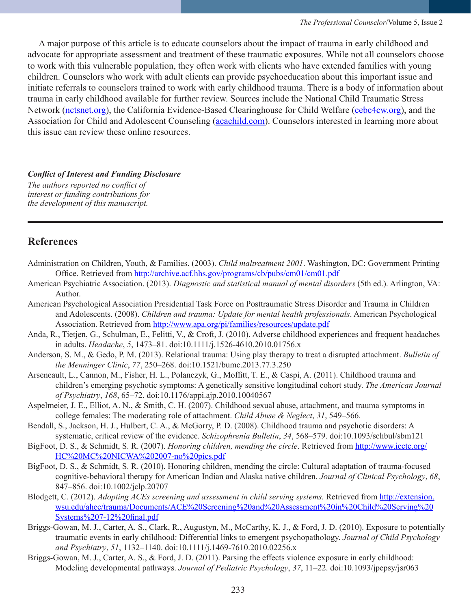A major purpose of this article is to educate counselors about the impact of trauma in early childhood and advocate for appropriate assessment and treatment of these traumatic exposures. While not all counselors choose to work with this vulnerable population, they often work with clients who have extended families with young children. Counselors who work with adult clients can provide psychoeducation about this important issue and initiate referrals to counselors trained to work with early childhood trauma. There is a body of information about trauma in early childhood available for further review. Sources include the National Child Traumatic Stress Network (nctsnet.org), the California Evidence-Based Clearinghouse for Child Welfare (cebc4cw.org), and the Association for Child and Adolescent Counseling (acachild.com). Counselors interested in learning more about this issue can review these online resources.

#### *Conflict of Interest and Funding Disclosure*

*The authors reported no conflict of interest or funding contributions for the development of this manuscript.*

#### **References**

- Administration on Children, Youth, & Families. (2003). *Child maltreatment 2001*. Washington, DC: Government Printing Office. Retrieved from http://archive.acf.hhs.gov/programs/cb/pubs/cm01/cm01.pdf
- American Psychiatric Association. (2013). *Diagnostic and statistical manual of mental disorders* (5th ed.). Arlington, VA: Author.
- American Psychological Association Presidential Task Force on Posttraumatic Stress Disorder and Trauma in Children and Adolescents. (2008). *Children and trauma: Update for mental health professionals*. American Psychological Association. Retrieved from http://www.apa.org/pi/families/resources/update.pdf
- Anda, R., Tietjen, G., Schulman, E., Felitti, V., & Croft, J. (2010). Adverse childhood experiences and frequent headaches in adults. *Headache*, *5*, 1473–81. doi:10.1111/j.1526-4610.2010.01756.x
- Anderson, S. M., & Gedo, P. M. (2013). Relational trauma: Using play therapy to treat a disrupted attachment. *Bulletin of the Menninger Clinic*, *77*, 250–268. doi:10.1521/bumc.2013.77.3.250
- Arseneault, L., Cannon, M., Fisher, H. L., Polanczyk, G., Moffitt, T. E., & Caspi, A. (2011). Childhood trauma and children's emerging psychotic symptoms: A genetically sensitive longitudinal cohort study. *The American Journal of Psychiatry*, *168*, 65–72. doi:10.1176/appi.ajp.2010.10040567
- Aspelmeier, J. E., Elliot, A. N., & Smith, C. H. (2007). Childhood sexual abuse, attachment, and trauma symptoms in college females: The moderating role of attachment. *Child Abuse & Neglect*, *31*, 549–566.
- Bendall, S., Jackson, H. J., Hulbert, C. A., & McGorry, P. D. (2008). Childhood trauma and psychotic disorders: A systematic, critical review of the evidence. *Schizophrenia Bulletin*, *34*, 568–579. doi:10.1093/schbul/sbm121
- BigFoot, D. S., & Schmidt, S. R. (2007). *Honoring children, mending the circle*. Retrieved from http://www.icctc.org/ HC%20MC%20NICWA%202007-no%20pics.pdf
- BigFoot, D. S., & Schmidt, S. R. (2010). Honoring children, mending the circle: Cultural adaptation of trauma-focused cognitive-behavioral therapy for American Indian and Alaska native children. *Journal of Clinical Psychology*, *68*, 847–856. doi:10.1002/jclp.20707
- Blodgett, C. (2012). *Adopting ACEs screening and assessment in child serving systems.* Retrieved from http://extension. wsu.edu/ahec/trauma/Documents/ACE%20Screening%20and%20Assessment%20in%20Child%20Serving%20 Systems%207-12%20final.pdf
- Briggs-Gowan, M. J., Carter, A. S., Clark, R., Augustyn, M., McCarthy, K. J., & Ford, J. D. (2010). Exposure to potentially traumatic events in early childhood: Differential links to emergent psychopathology. *Journal of Child Psychology and Psychiatry*, *51*, 1132–1140. doi:10.1111/j.1469-7610.2010.02256.x
- Briggs-Gowan, M. J., Carter, A. S., & Ford, J. D. (2011). Parsing the effects violence exposure in early childhood: Modeling developmental pathways. *Journal of Pediatric Psychology*, *37*, 11–22. doi:10.1093/jpepsy/jsr063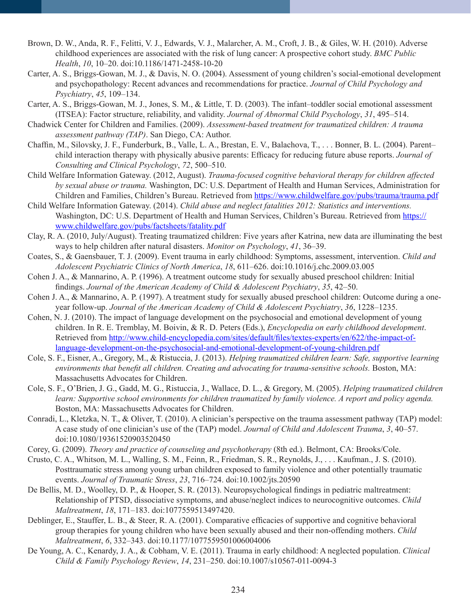- Brown, D. W., Anda, R. F., Felitti, V. J., Edwards, V. J., Malarcher, A. M., Croft, J. B., & Giles, W. H. (2010). Adverse childhood experiences are associated with the risk of lung cancer: A prospective cohort study. *BMC Public Health*, *10*, 10–20. doi:10.1186/1471-2458-10-20
- Carter, A. S., Briggs-Gowan, M. J., & Davis, N. O. (2004). Assessment of young children's social-emotional development and psychopathology: Recent advances and recommendations for practice. *Journal of Child Psychology and Psychiatry*, *45*, 109–134.
- Carter, A. S., Briggs-Gowan, M. J., Jones, S. M., & Little, T. D. (2003). The infant–toddler social emotional assessment (ITSEA): Factor structure, reliability, and validity. *Journal of Abnormal Child Psychology*, *31*, 495–514.
- Chadwick Center for Children and Families. (2009). *Assessment-based treatment for traumatized children: A trauma assessment pathway (TAP)*. San Diego, CA: Author.
- Chaffin, M., Silovsky, J. F., Funderburk, B., Valle, L. A., Brestan, E. V., Balachova, T., . . . Bonner, B. L. (2004). Parent– child interaction therapy with physically abusive parents: Efficacy for reducing future abuse reports. *Journal of Consulting and Clinical Psychology*, *72*, 500–510.
- Child Welfare Information Gateway. (2012, August). *Trauma-focused cognitive behavioral therapy for children affected by sexual abuse or trauma.* Washington, DC: U.S. Department of Health and Human Services, Administration for Children and Families, Children's Bureau. Retrieved from https://www.childwelfare.gov/pubs/trauma/trauma.pdf
- Child Welfare Information Gateway. (2014). *Child abuse and neglect fatalities 2012: Statistics and interventions.*  Washington, DC: U.S. Department of Health and Human Services, Children's Bureau. Retrieved from https:// www.childwelfare.gov/pubs/factsheets/fatality.pdf
- Clay, R. A. (2010, July/August). Treating traumatized children: Five years after Katrina, new data are illuminating the best ways to help children after natural disasters. *Monitor on Psychology*, *41*, 36–39.
- Coates, S., & Gaensbauer, T. J. (2009). Event trauma in early childhood: Symptoms, assessment, intervention. *Child and Adolescent Psychiatric Clinics of North America*, *18*, 611–626. doi:10.1016/j.chc.2009.03.005
- Cohen J. A., & Mannarino, A. P. (1996). A treatment outcome study for sexually abused preschool children: Initial findings. *Journal of the American Academy of Child & Adolescent Psychiatry*, *35*, 42–50.
- Cohen J. A., & Mannarino, A. P. (1997). A treatment study for sexually abused preschool children: Outcome during a oneyear follow-up. *Journal of the American Academy of Child & Adolescent Psychiatry*, *36*, 1228–1235.
- Cohen, N. J. (2010). The impact of language development on the psychosocial and emotional development of young children. In R. E. Tremblay, M. Boivin, & R. D. Peters (Eds.), *Encyclopedia on early childhood development*. Retrieved from http://www.child-encyclopedia.com/sites/default/files/textes-experts/en/622/the-impact-oflanguage-development-on-the-psychosocial-and-emotional-development-of-young-children.pdf
- Cole, S. F., Eisner, A., Gregory, M., & Ristuccia, J. (2013). *Helping traumatized children learn: Safe, supportive learning environments that benefit all children. Creating and advocating for trauma-sensitive schools.* Boston, MA: Massachusetts Advocates for Children.
- Cole, S. F., O'Brien, J. G., Gadd, M. G., Ristuccia, J., Wallace, D. L., & Gregory, M. (2005). *Helping traumatized children learn: Supportive school environments for children traumatized by family violence. A report and policy agenda.* Boston, MA: Massachusetts Advocates for Children.
- Conradi, L., Kletzka, N. T., & Oliver, T. (2010). A clinician's perspective on the trauma assessment pathway (TAP) model: A case study of one clinician's use of the (TAP) model. *Journal of Child and Adolescent Trauma*, *3*, 40–57. doi:10.1080/19361520903520450
- Corey, G. (2009). *Theory and practice of counseling and psychotherapy* (8th ed.). Belmont, CA: Brooks/Cole.
- Crusto, C. A., Whitson, M. L., Walling, S. M., Feinn, R., Friedman, S. R., Reynolds, J., . . . Kaufman., J. S. (2010). Posttraumatic stress among young urban children exposed to family violence and other potentially traumatic events. *Journal of Traumatic Stress*, *23*, 716–724. doi:10.1002/jts.20590
- De Bellis, M. D., Woolley, D. P., & Hooper, S. R. (2013). Neuropsychological findings in pediatric maltreatment: Relationship of PTSD, dissociative symptoms, and abuse/neglect indices to neurocognitive outcomes. *Child Maltreatment*, *18*, 171–183. doi:1077559513497420.
- Deblinger, E., Stauffer, L. B., & Steer, R. A. (2001). Comparative efficacies of supportive and cognitive behavioral group therapies for young children who have been sexually abused and their non-offending mothers. *Child Maltreatment*, *6*, 332–343. doi:10.1177/1077559501006004006
- De Young, A. C., Kenardy, J. A., & Cobham, V. E. (2011). Trauma in early childhood: A neglected population. *Clinical Child & Family Psychology Review*, *14*, 231–250. doi:10.1007/s10567-011-0094-3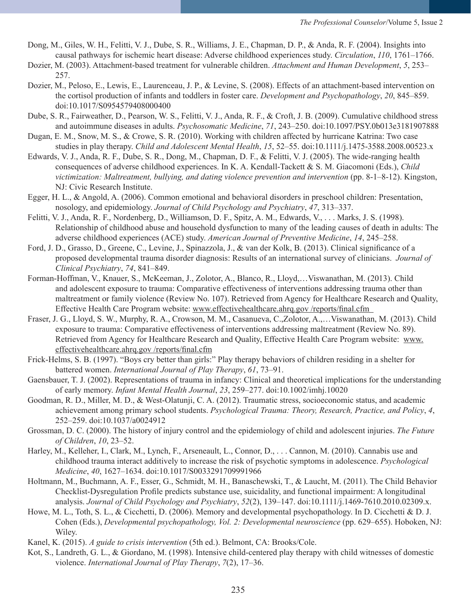- Dong, M., Giles, W. H., Felitti, V. J., Dube, S. R., Williams, J. E., Chapman, D. P., & Anda, R. F. (2004). Insights into causal pathways for ischemic heart disease: Adverse childhood experiences study. *Circulation*, *110*, 1761–1766.
- Dozier, M. (2003). Attachment-based treatment for vulnerable children. *Attachment and Human Development*, *5*, 253– 257.
- Dozier, M., Peloso, E., Lewis, E., Laurenceau, J. P., & Levine, S. (2008). Effects of an attachment-based intervention on the cortisol production of infants and toddlers in foster care. *Development and Psychopathology*, *20*, 845–859. doi:10.1017/S0954579408000400
- Dube, S. R., Fairweather, D., Pearson, W. S., Felitti, V. J., Anda, R. F., & Croft, J. B. (2009). Cumulative childhood stress and autoimmune diseases in adults. *Psychosomatic Medicine*, *71*, 243–250. doi:10.1097/PSY.0b013e3181907888
- Dugan, E. M., Snow, M. S., & Crowe, S. R. (2010). Working with children affected by hurricane Katrina: Two case studies in play therapy. *Child and Adolescent Mental Health*, *15*, 52–55. doi:10.1111/j.1475-3588.2008.00523.x
- Edwards, V. J., Anda, R. F., Dube, S. R., Dong, M., Chapman, D. F., & Felitti, V. J. (2005). The wide-ranging health consequences of adverse childhood experiences. In K. A. Kendall-Tackett & S. M. Giacomoni (Eds.), *Child victimization: Maltreatment, bullying, and dating violence prevention and intervention* (pp. 8-1–8-12). Kingston, NJ: Civic Research Institute.
- Egger, H. L., & Angold, A. (2006). Common emotional and behavioral disorders in preschool children: Presentation, nosology, and epidemiology. *Journal of Child Psychology and Psychiatry*, *47*, 313–337.
- Felitti, V. J., Anda, R. F., Nordenberg, D., Williamson, D. F., Spitz, A. M., Edwards, V., . . . Marks, J. S. (1998). Relationship of childhood abuse and household dysfunction to many of the leading causes of death in adults: The adverse childhood experiences (ACE) study. *American Journal of Preventive Medicine*, *14*, 245–258.
- Ford, J. D., Grasso, D., Greene, C., Levine, J., Spinazzola, J., & van der Kolk, B. (2013). Clinical significance of a proposed developmental trauma disorder diagnosis: Results of an international survey of clinicians. *Journal of Clinical Psychiatry*, *74*, 841–849.
- Forman-Hoffman, V., Knauer, S., McKeeman, J., Zolotor, A., Blanco, R., Lloyd,…Viswanathan, M. (2013). Child and adolescent exposure to trauma: Comparative effectiveness of interventions addressing trauma other than maltreatment or family violence (Review No. 107). Retrieved from Agency for Healthcare Research and Quality, Effective Health Care Program website: www.effectivehealthcare.ahrq.gov /reports/final.cfm
- Fraser, J. G., Lloyd, S. W., Murphy, R. A., Crowson, M. M., Casanueva, C.,Zolotor, A.,…Viswanathan, M. (2013). Child exposure to trauma: Comparative effectiveness of interventions addressing maltreatment (Review No. 89). Retrieved from Agency for Healthcare Research and Quality, Effective Health Care Program website: www. effectivehealthcare.ahrq.gov /reports/final.cfm
- Frick-Helms, S. B. (1997). "Boys cry better than girls:" Play therapy behaviors of children residing in a shelter for battered women. *International Journal of Play Therapy*, *61*, 73–91.
- Gaensbauer, T. J. (2002). Representations of trauma in infancy: Clinical and theoretical implications for the understanding of early memory. *Infant Mental Health Journal*, *23*, 259–277. doi:10.1002/imhj.10020
- Goodman, R. D., Miller, M. D., & West-Olatunji, C. A. (2012). Traumatic stress, socioeconomic status, and academic achievement among primary school students. *Psychological Trauma: Theory, Research, Practice, and Policy*, *4*, 252–259. doi:10.1037/a0024912
- Grossman, D. C. (2000). The history of injury control and the epidemiology of child and adolescent injuries. *The Future of Children*, *10*, 23–52.
- Harley, M., Kelleher, I., Clark, M., Lynch, F., Arseneault, L., Connor, D., . . . Cannon, M. (2010). Cannabis use and childhood trauma interact additively to increase the risk of psychotic symptoms in adolescence. *Psychological Medicine*, *40*, 1627–1634. doi:10.1017/S0033291709991966
- Holtmann, M., Buchmann, A. F., Esser, G., Schmidt, M. H., Banaschewski, T., & Laucht, M. (2011). The Child Behavior Checklist-Dysregulation Profile predicts substance use, suicidality, and functional impairment: A longitudinal analysis. *Journal of Child Psychology and Psychiatry*, *52*(2), 139–147. doi:10.1111/j.1469-7610.2010.02309.x.
- Howe, M. L., Toth, S. L., & Cicchetti, D. (2006). Memory and developmental psychopathology. In D. Cicchetti & D. J. Cohen (Eds.), *Developmental psychopathology, Vol. 2: Developmental neuroscience* (pp. 629–655). Hoboken, NJ: Wiley.
- Kanel, K. (2015). *A guide to crisis intervention* (5th ed.). Belmont, CA: Brooks/Cole.
- Kot, S., Landreth, G. L., & Giordano, M. (1998). Intensive child-centered play therapy with child witnesses of domestic violence. *International Journal of Play Therapy*, *7*(2), 17–36.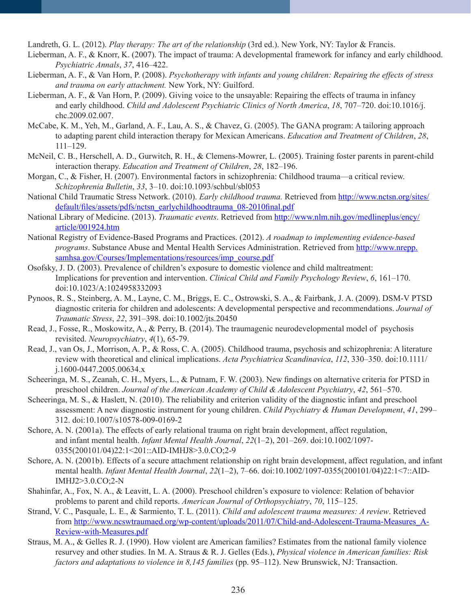Landreth, G. L. (2012). *Play therapy: The art of the relationship* (3rd ed.). New York, NY: Taylor & Francis.

- Lieberman, A. F., & Knorr, K. (2007). The impact of trauma: A developmental framework for infancy and early childhood. *Psychiatric Annals*, *37*, 416–422.
- Lieberman, A. F., & Van Horn, P. (2008). *Psychotherapy with infants and young children: Repairing the effects of stress and trauma on early attachment.* New York, NY: Guilford.
- Lieberman, A. F., & Van Horn, P. (2009). Giving voice to the unsayable: Repairing the effects of trauma in infancy and early childhood. *Child and Adolescent Psychiatric Clinics of North America*, *18*, 707–720. doi:10.1016/j. chc.2009.02.007.
- McCabe, K. M., Yeh, M., Garland, A. F., Lau, A. S., & Chavez, G. (2005). The GANA program: A tailoring approach to adapting parent child interaction therapy for Mexican Americans. *Education and Treatment of Children*, *28*, 111–129.
- McNeil, C. B., Herschell, A. D., Gurwitch, R. H., & Clemens-Mowrer, L. (2005). Training foster parents in parent-child interaction therapy. *Education and Treatment of Children*, *28*, 182–196.
- Morgan, C., & Fisher, H. (2007). Environmental factors in schizophrenia: Childhood trauma—a critical review. *Schizophrenia Bulletin*, *33*, 3–10. doi:10.1093/schbul/sbl053
- National Child Traumatic Stress Network. (2010). *Early childhood trauma.* Retrieved from http://www.nctsn.org/sites/ default/files/assets/pdfs/nctsn\_earlychildhoodtrauma\_08-2010final.pdf
- National Library of Medicine. (2013). *Traumatic events*. Retrieved from http://www.nlm.nih.gov/medlineplus/ency/ article/001924.htm
- National Registry of Evidence-Based Programs and Practices. (2012). *A roadmap to implementing evidence-based programs*. Substance Abuse and Mental Health Services Administration. Retrieved from http://www.nrepp. samhsa.gov/Courses/Implementations/resources/imp\_course.pdf
- Osofsky, J. D. (2003). Prevalence of children's exposure to domestic violence and child maltreatment: Implications for prevention and intervention. *Clinical Child and Family Psychology Review*, *6*, 161–170. doi:10.1023/A:1024958332093
- Pynoos, R. S., Steinberg, A. M., Layne, C. M., Briggs, E. C., Ostrowski, S. A., & Fairbank, J. A. (2009). DSM-V PTSD diagnostic criteria for children and adolescents: A developmental perspective and recommendations. *Journal of Traumatic Stress*, *22*, 391–398. doi:10.1002/jts.20450
- Read, J., Fosse, R., Moskowitz, A., & Perry, B. (2014). The traumagenic neurodevelopmental model of psychosis revisited. *Neuropsychiatry*, *4*(1), 65-79.
- Read, J., van Os, J., Morrison, A. P., & Ross, C. A. (2005). Childhood trauma, psychosis and schizophrenia: A literature review with theoretical and clinical implications. *Acta Psychiatrica Scandinavica*, *112*, 330–350. doi:10.1111/ j.1600-0447.2005.00634.x
- Scheeringa, M. S., Zeanah, C. H., Myers, L., & Putnam, F. W. (2003). New findings on alternative criteria for PTSD in preschool children. *Journal of the American Academy of Child & Adolescent Psychiatry*, *42*, 561–570.
- Scheeringa, M. S., & Haslett, N. (2010). The reliability and criterion validity of the diagnostic infant and preschool assessment: A new diagnostic instrument for young children. *Child Psychiatry & Human Development*, *41*, 299– 312. doi:10.1007/s10578-009-0169-2
- Schore, A. N. (2001a). The effects of early relational trauma on right brain development, affect regulation, and infant mental health. *Infant Mental Health Journal*, *22*(1–2), 201–269. doi:10.1002/1097- 0355(200101/04)22:1<201::AID-IMHJ8>3.0.CO;2-9
- Schore, A. N. (2001b). Effects of a secure attachment relationship on right brain development, affect regulation, and infant mental health. *Infant Mental Health Journal*, *22*(1–2), 7–66. doi:10.1002/1097-0355(200101/04)22:1<7::AID-IMHJ2>3.0.CO;2-N
- Shahinfar, A., Fox, N. A., & Leavitt, L. A. (2000). Preschool children's exposure to violence: Relation of behavior problems to parent and child reports. *American Journal of Orthopsychiatry*, *70*, 115–125.
- Strand, V. C., Pasquale, L. E., & Sarmiento, T. L. (2011). *Child and adolescent trauma measures: A review*. Retrieved from http://www.ncswtraumaed.org/wp-content/uploads/2011/07/Child-and-Adolescent-Trauma-Measures\_A-Review-with-Measures.pdf
- Straus, M. A., & Gelles R. J. (1990). How violent are American families? Estimates from the national family violence resurvey and other studies. In M. A. Straus & R. J. Gelles (Eds.), *Physical violence in American families: Risk factors and adaptations to violence in 8,145 families* (pp. 95–112). New Brunswick, NJ: Transaction.